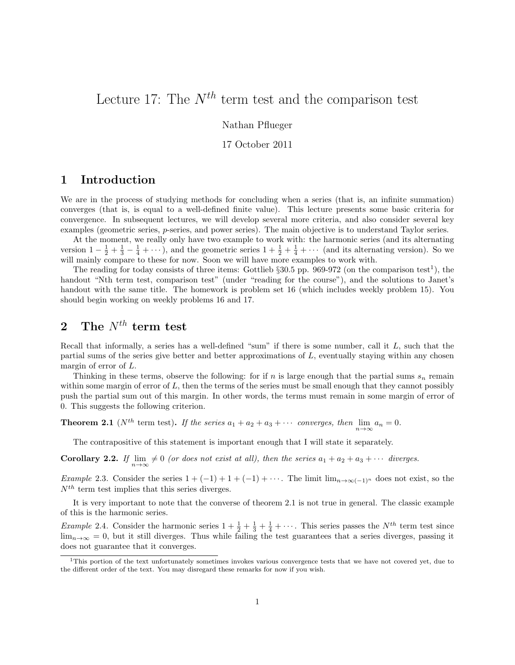# Lecture 17: The  $N^{th}$  term test and the comparison test

Nathan Pflueger

17 October 2011

### 1 Introduction

We are in the process of studying methods for concluding when a series (that is, an infinite summation) converges (that is, is equal to a well-defined finite value). This lecture presents some basic criteria for convergence. In subsequent lectures, we will develop several more criteria, and also consider several key examples (geometric series, p-series, and power series). The main objective is to understand Taylor series.

At the moment, we really only have two example to work with: the harmonic series (and its alternating version  $1-\frac{1}{2}+\frac{1}{3}-\frac{1}{4}+\cdots$ , and the geometric series  $1+\frac{1}{2}+\frac{1}{4}+\cdots$  (and its alternating version). So we will mainly compare to these for now. Soon we will have more examples to work with.

The reading for today consists of three items: Gottlieb  $\S 30.5$  pp. 969-972 (on the comparison test<sup>1</sup>), the handout "Nth term test, comparison test" (under "reading for the course"), and the solutions to Janet's handout with the same title. The homework is problem set 16 (which includes weekly problem 15). You should begin working on weekly problems 16 and 17.

## 2 The  $N^{th}$  term test

Recall that informally, a series has a well-defined "sum" if there is some number, call it L, such that the partial sums of the series give better and better approximations of L, eventually staying within any chosen margin of error of L.

Thinking in these terms, observe the following: for if n is large enough that the partial sums  $s_n$  remain within some margin of error of  $L$ , then the terms of the series must be small enough that they cannot possibly push the partial sum out of this margin. In other words, the terms must remain in some margin of error of 0. This suggests the following criterion.

**Theorem 2.1** ( $N^{th}$  term test). If the series  $a_1 + a_2 + a_3 + \cdots$  converges, then  $\lim_{n \to \infty} a_n = 0$ .

The contrapositive of this statement is important enough that I will state it separately.

**Corollary 2.2.** If  $\lim_{n\to\infty} \neq 0$  (or does not exist at all), then the series  $a_1 + a_2 + a_3 + \cdots$  diverges.

Example 2.3. Consider the series  $1 + (-1) + 1 + (-1) + \cdots$ . The limit  $\lim_{n\to\infty}$  $(-1)^n$  does not exist, so the  $N^{th}$  term test implies that this series diverges.

It is very important to note that the converse of theorem 2.1 is not true in general. The classic example of this is the harmonic series.

*Example* 2.4. Consider the harmonic series  $1 + \frac{1}{2} + \frac{1}{3} + \frac{1}{4} + \cdots$ . This series passes the  $N^{th}$  term test since  $\lim_{n\to\infty}$  = 0, but it still diverges. Thus while failing the test guarantees that a series diverges, passing it does not guarantee that it converges.

<sup>1</sup>This portion of the text unfortunately sometimes invokes various convergence tests that we have not covered yet, due to the different order of the text. You may disregard these remarks for now if you wish.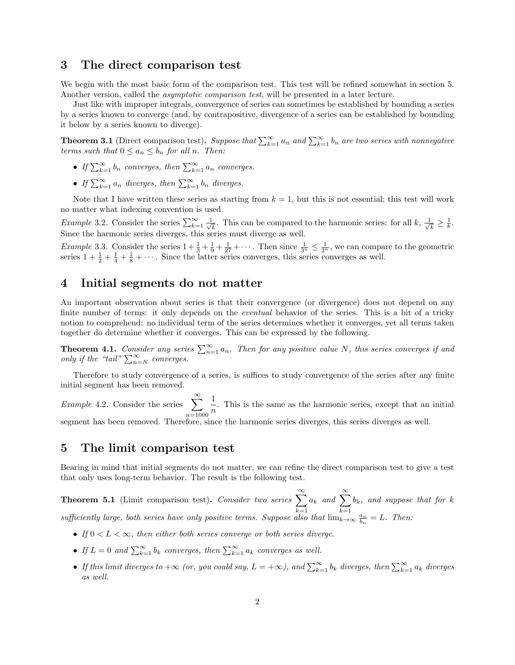#### 3 The direct comparison test

We begin with the most basic form of the comparison test. This test will be refined somewhat in section 5. Another version, called the *asymptotic comparison test*, will be presented in a later lecture.

Just like with improper integrals, convergence of series can sometimes be established by bounding a series by a series known to converge (and, by contrapositive, divergence of a series can be established by bounding it below by a series known to diverge).

**Theorem 3.1** (Direct comparison test). Suppose that  $\sum_{k=1}^{\infty} a_n$  and  $\sum_{k=1}^{\infty} b_n$  are two series with nonnegative terms such that  $0 \le a_n \le b_n$  for all n. Then:

- If  $\sum_{k=1}^{\infty} b_n$  converges, then  $\sum_{k=1}^{\infty} a_n$  converges.
- If  $\sum_{k=1}^{\infty} a_k$  diverges, then  $\sum_{k=1}^{\infty} b_n$  diverges.

Note that I have written these series as starting from  $k = 1$ , but this is not essential; this test will work no matter what indexing convention is used.

*Example* 3.2. Consider the series  $\sum_{k=1}^{\infty} \frac{1}{\sqrt{k}}$  $\frac{1}{k}$ . This can be compared to the harmonic series: for all  $k, \frac{1}{\sqrt{k}}$ .  $\frac{1}{k} \geq \frac{1}{k}.$ Since the harmonic series diverges, this series must diverge as well.

*Example* 3.3. Consider the series  $1 + \frac{1}{3} + \frac{1}{9} + \frac{1}{27} + \cdots$ . Then since  $\frac{1}{3^n} \leq \frac{1}{2^n}$ , we can compare to the geometric series  $1 + \frac{1}{2} + \frac{1}{4} + \frac{1}{8} + \cdots$ . Since the latter series converges, this series converges as well.

#### 4 Initial segments do not matter

An important observation about series is that their convergence (or divergence) does not depend on any finite number of terms: it only depends on the eventual behavior of the series. This is a bit of a tricky notion to comprehend: no individual term of the series determines whether it converges, yet all terms taken together do determine whether it converges. This can be expressed by the following.

**Theorem 4.1.** Consider any series  $\sum_{n=1}^{\infty} a_n$ . Then for any positive value N, this series converges if and only if the "tail"  $\sum_{n=N}^{\infty}$  converges.

Therefore to study convergence of a series, is suffices to study convergence of the series after any finite initial segment has been removed.

Example 4.2. Consider the series  $\sum_{n=1}^{\infty}$ n=1000 1  $\frac{1}{n}$ . This is the same as the harmonic series, except that an initial segment has been removed. Therefore, since the harmonic series diverges, this series diverges as well.

#### 5 The limit comparison test

Bearing in mind that initial segments do not matter, we can refine the direct comparison test to give a test that only uses long-term behavior. The result is the following test.

**Theorem 5.1** (Limit comparison test). Consider two series  $\sum_{n=1}^{\infty}$  $k=1$  $a_k$  and  $\sum_{n=1}^{\infty}$  $k=1$  $b_k$ , and suppose that for  $k$ sufficiently large, both series have only positive terms. Suppose also that  $\lim_{k\to\infty} \frac{a_n}{b_n} = L$ . Then:

- If  $0 < L < \infty$ , then either both series converge or both series diverge.
- If  $L = 0$  and  $\sum_{k=1}^{\infty} b_k$  converges, then  $\sum_{k=1}^{\infty} a_k$  converges as well.
- If this limit diverges to  $+\infty$  (or, you could say,  $L = +\infty$ ), and  $\sum_{k=1}^{\infty} b_k$  diverges, then  $\sum_{k=1}^{\infty} a_k$  diverges as well.